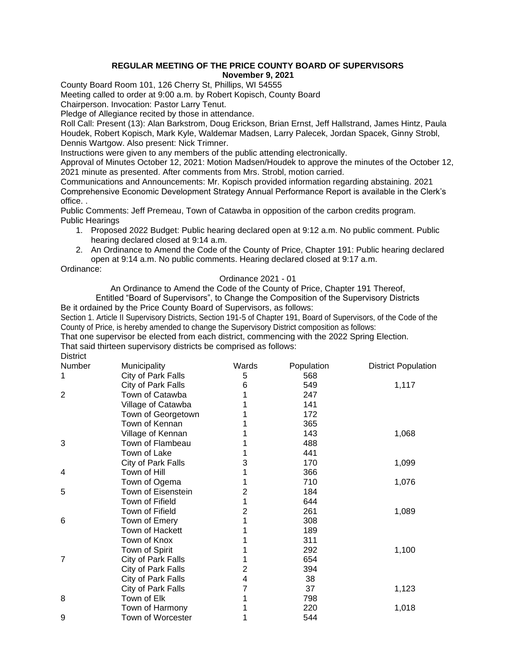## **REGULAR MEETING OF THE PRICE COUNTY BOARD OF SUPERVISORS November 9, 2021**

County Board Room 101, 126 Cherry St, Phillips, WI 54555

Meeting called to order at 9:00 a.m. by Robert Kopisch, County Board

Chairperson. Invocation: Pastor Larry Tenut.

Pledge of Allegiance recited by those in attendance.

Roll Call: Present (13): Alan Barkstrom, Doug Erickson, Brian Ernst, Jeff Hallstrand, James Hintz, Paula Houdek, Robert Kopisch, Mark Kyle, Waldemar Madsen, Larry Palecek, Jordan Spacek, Ginny Strobl, Dennis Wartgow. Also present: Nick Trimner.

Instructions were given to any members of the public attending electronically.

Approval of Minutes October 12, 2021: Motion Madsen/Houdek to approve the minutes of the October 12, 2021 minute as presented. After comments from Mrs. Strobl, motion carried.

Communications and Announcements: Mr. Kopisch provided information regarding abstaining. 2021 Comprehensive Economic Development Strategy Annual Performance Report is available in the Clerk's office. .

Public Comments: Jeff Premeau, Town of Catawba in opposition of the carbon credits program. Public Hearings

- 1. Proposed 2022 Budget: Public hearing declared open at 9:12 a.m. No public comment. Public hearing declared closed at 9:14 a.m.
- 2. An Ordinance to Amend the Code of the County of Price, Chapter 191: Public hearing declared open at 9:14 a.m. No public comments. Hearing declared closed at 9:17 a.m.

Ordinance:

## Ordinance 2021 - 01

An Ordinance to Amend the Code of the County of Price, Chapter 191 Thereof,

Entitled "Board of Supervisors", to Change the Composition of the Supervisory Districts Be it ordained by the Price County Board of Supervisors, as follows:

Section 1. Article II Supervisory Districts, Section 191-5 of Chapter 191, Board of Supervisors, of the Code of the County of Price, is hereby amended to change the Supervisory District composition as follows:

That one supervisor be elected from each district, commencing with the 2022 Spring Election. That said thirteen supervisory districts be comprised as follows:

**District** 

| Number         | Municipality       | Wards | Population | <b>District Population</b> |
|----------------|--------------------|-------|------------|----------------------------|
| 1              | City of Park Falls | 5     | 568        |                            |
|                | City of Park Falls | 6     | 549        | 1,117                      |
| 2              | Town of Catawba    |       | 247        |                            |
|                | Village of Catawba |       | 141        |                            |
|                | Town of Georgetown |       | 172        |                            |
|                | Town of Kennan     |       | 365        |                            |
|                | Village of Kennan  |       | 143        | 1,068                      |
| 3              | Town of Flambeau   |       | 488        |                            |
|                | Town of Lake       |       | 441        |                            |
|                | City of Park Falls | 3     | 170        | 1,099                      |
| 4              | Town of Hill       |       | 366        |                            |
|                | Town of Ogema      |       | 710        | 1,076                      |
| 5              | Town of Eisenstein | 2     | 184        |                            |
|                | Town of Fifield    |       | 644        |                            |
|                | Town of Fifield    | 2     | 261        | 1,089                      |
| 6              | Town of Emery      |       | 308        |                            |
|                | Town of Hackett    |       | 189        |                            |
|                | Town of Knox       |       | 311        |                            |
|                | Town of Spirit     |       | 292        | 1,100                      |
| $\overline{7}$ | City of Park Falls |       | 654        |                            |
|                | City of Park Falls | 2     | 394        |                            |
|                | City of Park Falls | 4     | 38         |                            |
|                | City of Park Falls |       | 37         | 1,123                      |
| 8              | Town of Elk        |       | 798        |                            |
|                | Town of Harmony    |       | 220        | 1,018                      |
| 9              | Town of Worcester  |       | 544        |                            |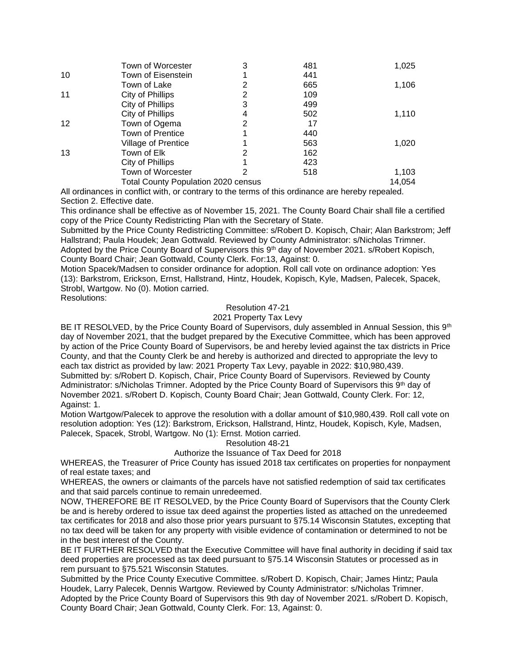|    | Town of Worcester                          | 3 | 481 | 1,025  |
|----|--------------------------------------------|---|-----|--------|
| 10 | Town of Eisenstein                         |   | 441 |        |
|    | Town of Lake                               | 2 | 665 | 1,106  |
| 11 | City of Phillips                           | 2 | 109 |        |
|    | City of Phillips                           | 3 | 499 |        |
|    | City of Phillips                           | 4 | 502 | 1,110  |
| 12 | Town of Ogema                              | 2 | 17  |        |
|    | <b>Town of Prentice</b>                    |   | 440 |        |
|    | Village of Prentice                        |   | 563 | 1,020  |
| 13 | Town of Elk                                | 2 | 162 |        |
|    | City of Phillips                           |   | 423 |        |
|    | Town of Worcester                          | 2 | 518 | 1,103  |
|    | <b>Total County Population 2020 census</b> |   |     | 14,054 |

All ordinances in conflict with, or contrary to the terms of this ordinance are hereby repealed. Section 2. Effective date.

This ordinance shall be effective as of November 15, 2021. The County Board Chair shall file a certified copy of the Price County Redistricting Plan with the Secretary of State.

Submitted by the Price County Redistricting Committee: s/Robert D. Kopisch, Chair; Alan Barkstrom; Jeff Hallstrand; Paula Houdek; Jean Gottwald. Reviewed by County Administrator: s/Nicholas Trimner. Adopted by the Price County Board of Supervisors this 9<sup>th</sup> day of November 2021. s/Robert Kopisch, County Board Chair; Jean Gottwald, County Clerk. For:13, Against: 0.

Motion Spacek/Madsen to consider ordinance for adoption. Roll call vote on ordinance adoption: Yes (13): Barkstrom, Erickson, Ernst, Hallstrand, Hintz, Houdek, Kopisch, Kyle, Madsen, Palecek, Spacek, Strobl, Wartgow. No (0). Motion carried.

Resolutions:

# Resolution 47-21

2021 Property Tax Levy

BE IT RESOLVED, by the Price County Board of Supervisors, duly assembled in Annual Session, this 9<sup>th</sup> day of November 2021, that the budget prepared by the Executive Committee, which has been approved by action of the Price County Board of Supervisors, be and hereby levied against the tax districts in Price County, and that the County Clerk be and hereby is authorized and directed to appropriate the levy to each tax district as provided by law: 2021 Property Tax Levy, payable in 2022: \$10,980,439. Submitted by: s/Robert D. Kopisch, Chair, Price County Board of Supervisors. Reviewed by County Administrator: s/Nicholas Trimner. Adopted by the Price County Board of Supervisors this 9<sup>th</sup> day of November 2021. s/Robert D. Kopisch, County Board Chair; Jean Gottwald, County Clerk. For: 12, Against: 1.

Motion Wartgow/Palecek to approve the resolution with a dollar amount of \$10,980,439. Roll call vote on resolution adoption: Yes (12): Barkstrom, Erickson, Hallstrand, Hintz, Houdek, Kopisch, Kyle, Madsen, Palecek, Spacek, Strobl, Wartgow. No (1): Ernst. Motion carried.

#### Resolution 48-21

### Authorize the Issuance of Tax Deed for 2018

WHEREAS, the Treasurer of Price County has issued 2018 tax certificates on properties for nonpayment of real estate taxes; and

WHEREAS, the owners or claimants of the parcels have not satisfied redemption of said tax certificates and that said parcels continue to remain unredeemed.

NOW, THEREFORE BE IT RESOLVED, by the Price County Board of Supervisors that the County Clerk be and is hereby ordered to issue tax deed against the properties listed as attached on the unredeemed tax certificates for 2018 and also those prior years pursuant to §75.14 Wisconsin Statutes, excepting that no tax deed will be taken for any property with visible evidence of contamination or determined to not be in the best interest of the County.

BE IT FURTHER RESOLVED that the Executive Committee will have final authority in deciding if said tax deed properties are processed as tax deed pursuant to §75.14 Wisconsin Statutes or processed as in rem pursuant to §75.521 Wisconsin Statutes.

Submitted by the Price County Executive Committee. s/Robert D. Kopisch, Chair; James Hintz; Paula Houdek, Larry Palecek, Dennis Wartgow. Reviewed by County Administrator: s/Nicholas Trimner. Adopted by the Price County Board of Supervisors this 9th day of November 2021. s/Robert D. Kopisch, County Board Chair; Jean Gottwald, County Clerk. For: 13, Against: 0.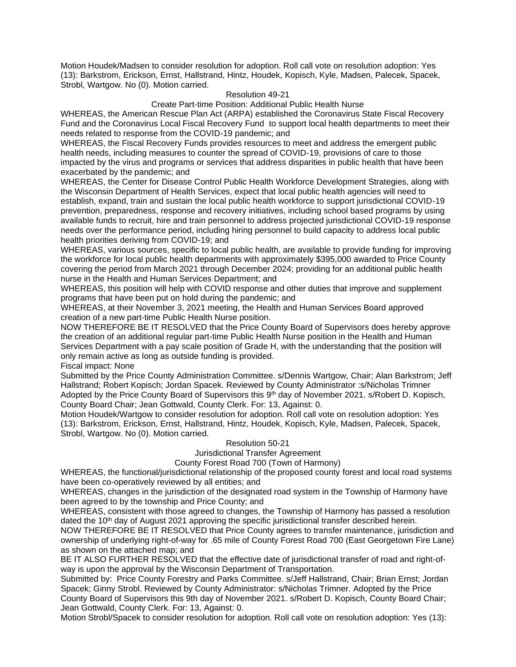Motion Houdek/Madsen to consider resolution for adoption. Roll call vote on resolution adoption: Yes (13): Barkstrom, Erickson, Ernst, Hallstrand, Hintz, Houdek, Kopisch, Kyle, Madsen, Palecek, Spacek, Strobl, Wartgow. No (0). Motion carried.

### Resolution 49-21

Create Part-time Position: Additional Public Health Nurse

WHEREAS, the American Rescue Plan Act (ARPA) established the Coronavirus State Fiscal Recovery Fund and the Coronavirus Local Fiscal Recovery Fund to support local health departments to meet their needs related to response from the COVID-19 pandemic; and

WHEREAS, the Fiscal Recovery Funds provides resources to meet and address the emergent public health needs, including measures to counter the spread of COVID-19, provisions of care to those impacted by the virus and programs or services that address disparities in public health that have been exacerbated by the pandemic; and

WHEREAS, the Center for Disease Control Public Health Workforce Development Strategies, along with the Wisconsin Department of Health Services, expect that local public health agencies will need to establish, expand, train and sustain the local public health workforce to support jurisdictional COVID-19 prevention, preparedness, response and recovery initiatives, including school based programs by using available funds to recruit, hire and train personnel to address projected jurisdictional COVID-19 response needs over the performance period, including hiring personnel to build capacity to address local public health priorities deriving from COVID-19; and

WHEREAS, various sources, specific to local public health, are available to provide funding for improving the workforce for local public health departments with approximately \$395,000 awarded to Price County covering the period from March 2021 through December 2024; providing for an additional public health nurse in the Health and Human Services Department; and

WHEREAS, this position will help with COVID response and other duties that improve and supplement programs that have been put on hold during the pandemic; and

WHEREAS, at their November 3, 2021 meeting, the Health and Human Services Board approved creation of a new part-time Public Health Nurse position.

NOW THEREFORE BE IT RESOLVED that the Price County Board of Supervisors does hereby approve the creation of an additional regular part-time Public Health Nurse position in the Health and Human Services Department with a pay scale position of Grade H, with the understanding that the position will only remain active as long as outside funding is provided.

Fiscal impact: None

Submitted by the Price County Administration Committee. s/Dennis Wartgow, Chair; Alan Barkstrom; Jeff Hallstrand; Robert Kopisch; Jordan Spacek. Reviewed by County Administrator :s/Nicholas Trimner Adopted by the Price County Board of Supervisors this 9th day of November 2021, s/Robert D. Kopisch, County Board Chair; Jean Gottwald, County Clerk. For: 13, Against: 0.

Motion Houdek/Wartgow to consider resolution for adoption. Roll call vote on resolution adoption: Yes (13): Barkstrom, Erickson, Ernst, Hallstrand, Hintz, Houdek, Kopisch, Kyle, Madsen, Palecek, Spacek, Strobl, Wartgow. No (0). Motion carried.

#### Resolution 50-21

Jurisdictional Transfer Agreement

# County Forest Road 700 (Town of Harmony)

WHEREAS, the functional/jurisdictional relationship of the proposed county forest and local road systems have been co-operatively reviewed by all entities; and

WHEREAS, changes in the jurisdiction of the designated road system in the Township of Harmony have been agreed to by the township and Price County; and

WHEREAS, consistent with those agreed to changes, the Township of Harmony has passed a resolution dated the 10<sup>th</sup> day of August 2021 approving the specific jurisdictional transfer described herein.

NOW THEREFORE BE IT RESOLVED that Price County agrees to transfer maintenance, jurisdiction and ownership of underlying right-of-way for .65 mile of County Forest Road 700 (East Georgetown Fire Lane) as shown on the attached map; and

BE IT ALSO FURTHER RESOLVED that the effective date of jurisdictional transfer of road and right-ofway is upon the approval by the Wisconsin Department of Transportation.

Submitted by: Price County Forestry and Parks Committee. s/Jeff Hallstrand, Chair; Brian Ernst; Jordan Spacek; Ginny Strobl. Reviewed by County Administrator: s/Nicholas Trimner. Adopted by the Price County Board of Supervisors this 9th day of November 2021. s/Robert D. Kopisch, County Board Chair; Jean Gottwald, County Clerk. For: 13, Against: 0.

Motion Strobl/Spacek to consider resolution for adoption. Roll call vote on resolution adoption: Yes (13):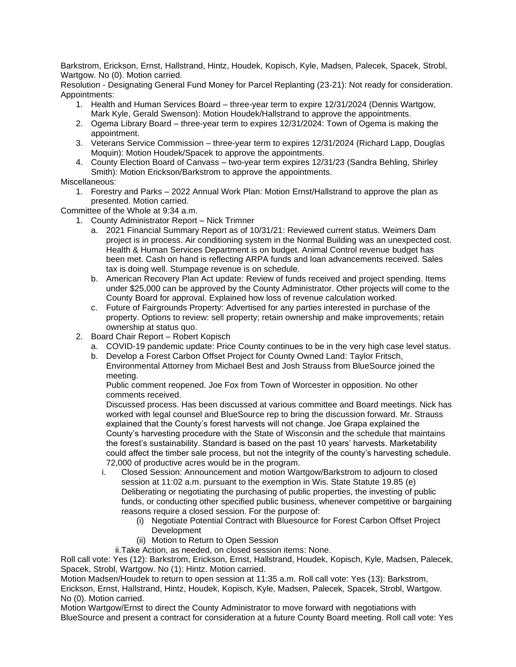Barkstrom, Erickson, Ernst, Hallstrand, Hintz, Houdek, Kopisch, Kyle, Madsen, Palecek, Spacek, Strobl, Wartgow. No (0). Motion carried.

Resolution - Designating General Fund Money for Parcel Replanting (23-21): Not ready for consideration. Appointments:

- 1. Health and Human Services Board three-year term to expire 12/31/2024 (Dennis Wartgow, Mark Kyle, Gerald Swenson): Motion Houdek/Hallstrand to approve the appointments.
- 2. Ogema Library Board three-year term to expires 12/31/2024: Town of Ogema is making the appointment.
- 3. Veterans Service Commission three-year term to expires 12/31/2024 (Richard Lapp, Douglas Moquin): Motion Houdek/Spacek to approve the appointments.
- 4. County Election Board of Canvass two-year term expires 12/31/23 (Sandra Behling, Shirley Smith): Motion Erickson/Barkstrom to approve the appointments.

## Miscellaneous:

1. Forestry and Parks – 2022 Annual Work Plan: Motion Ernst/Hallstrand to approve the plan as presented. Motion carried.

Committee of the Whole at 9:34 a.m.

- 1. County Administrator Report Nick Trimner
	- a. 2021 Financial Summary Report as of 10/31/21: Reviewed current status. Weimers Dam project is in process. Air conditioning system in the Normal Building was an unexpected cost. Health & Human Services Department is on budget. Animal Control revenue budget has been met. Cash on hand is reflecting ARPA funds and loan advancements received. Sales tax is doing well. Stumpage revenue is on schedule.
	- b. American Recovery Plan Act update: Review of funds received and project spending. Items under \$25,000 can be approved by the County Administrator. Other projects will come to the County Board for approval. Explained how loss of revenue calculation worked.
	- c. Future of Fairgrounds Property: Advertised for any parties interested in purchase of the property. Options to review: sell property; retain ownership and make improvements; retain ownership at status quo.
- 2. Board Chair Report Robert Kopisch
	- a. COVID-19 pandemic update: Price County continues to be in the very high case level status.
	- b. Develop a Forest Carbon Offset Project for County Owned Land: Taylor Fritsch,
		- Environmental Attorney from Michael Best and Josh Strauss from BlueSource joined the meeting.

Public comment reopened. Joe Fox from Town of Worcester in opposition. No other comments received.

Discussed process. Has been discussed at various committee and Board meetings. Nick has worked with legal counsel and BlueSource rep to bring the discussion forward. Mr. Strauss explained that the County's forest harvests will not change. Joe Grapa explained the County's harvesting procedure with the State of Wisconsin and the schedule that maintains the forest's sustainability. Standard is based on the past 10 years' harvests. Marketability could affect the timber sale process, but not the integrity of the county's harvesting schedule. 72,000 of productive acres would be in the program.

- i. Closed Session: Announcement and motion Wartgow/Barkstrom to adjourn to closed session at 11:02 a.m. pursuant to the exemption in Wis. State Statute 19.85 (e) Deliberating or negotiating the purchasing of public properties, the investing of public funds, or conducting other specified public business, whenever competitive or bargaining reasons require a closed session. For the purpose of:
	- (i) Negotiate Potential Contract with Bluesource for Forest Carbon Offset Project Development
	- (ii) Motion to Return to Open Session

ii.Take Action, as needed, on closed session items: None.

Roll call vote: Yes (12): Barkstrom, Erickson, Ernst, Hallstrand, Houdek, Kopisch, Kyle, Madsen, Palecek, Spacek, Strobl, Wartgow. No (1): Hintz. Motion carried.

Motion Madsen/Houdek to return to open session at 11:35 a.m. Roll call vote: Yes (13): Barkstrom, Erickson, Ernst, Hallstrand, Hintz, Houdek, Kopisch, Kyle, Madsen, Palecek, Spacek, Strobl, Wartgow. No (0). Motion carried.

Motion Wartgow/Ernst to direct the County Administrator to move forward with negotiations with BlueSource and present a contract for consideration at a future County Board meeting. Roll call vote: Yes